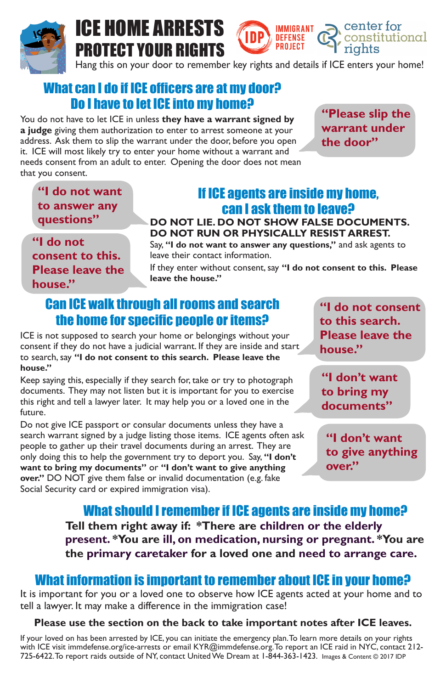## What can I do if ICE officers are at my door? Do I have to let ICE into my home?

You do not have to let ICE in unless **they have a warrant signed by a judge** giving them authorization to enter to arrest someone at your address. Ask them to slip the warrant under the door, before you open it. ICE will most likely try to enter your home without a warrant and needs consent from an adult to enter. Opening the door does not mean that you consent.



# ICE HOME ARRESTS PROTECT YOUR RIGHTS

If your loved on has been arrested by ICE, you can initiate the emergency plan. To learn more details on your rights with ICE visit immdefense.org/ice-arrests or email KYR@immdefense.org. To report an ICE raid in NYC, contact 212-725-6422. To report raids outside of NY, contact United We Dream at 1-844-363-1423. Images & Content © 2017 IDP

## If ICE agents are inside my home, can I ask them to leave?

IMMIGRANT

**DEFENSE** PROJECT

### **DO NOT LIE. DO NOT SHOW FALSE DOCUMENTS. DO NOT RUN OR PHYSICALLY RESIST ARREST.**

Say, **"I do not want to answer any questions,"** and ask agents to leave their contact information.

If they enter without consent, say **"I do not consent to this. Please leave the house."**

What should I remember if ICE agents are inside my home? **Tell them right away if: \*There are children or the elderly present. \*You are ill, on medication, nursing or pregnant. \*You are the primary caretaker for a loved one and need to arrange care.**

## What information is important to remember about ICE in your home?

**"Please slip the warrant under the door"**

center for

constitutional

**"I do not want to answer any questions"**

**"I do not consent to this. Please leave the house."**

## Can ICE walk through all rooms and search the home for specific people or items?

ICE is not supposed to search your home or belongings without your consent if they do not have a judicial warrant. If they are inside and start to search, say **"I do not consent to this search. Please leave the house."** 

Keep saying this, especially if they search for, take or try to photograph documents. They may not listen but it is important for you to exercise this right and tell a lawyer later. It may help you or a loved one in the future.

Do not give ICE passport or consular documents unless they have a search warrant signed by a judge listing those items. ICE agents often ask people to gather up their travel documents during an arrest. They are only doing this to help the government try to deport you. Say, **"I don't want to bring my documents"** or **"I don't want to give anything over."** DO NOT give them false or invalid documentation (e.g. fake Social Security card or expired immigration visa).

**"I do not consent to this search. Please leave the house."**

**"I don't want to bring my documents"**

**"I don't want to give anything over."**

It is important for you or a loved one to observe how ICE agents acted at your home and to tell a lawyer. It may make a difference in the immigration case!

#### **Please use the section on the back to take important notes after ICE leaves.**

Hang this on your door to remember key rights and details if ICE enters your home!

**IDP**